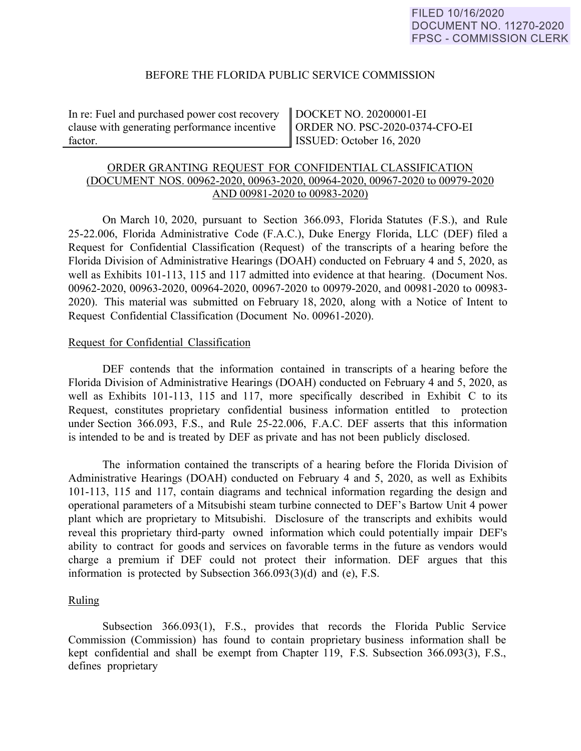### BEFORE THE FLORIDA PUBLIC SERVICE COMMISSION

In re: Fuel and purchased power cost recovery clause with generating performance incentive factor.

DOCKET NO. 20200001-EI ORDER NO. PSC-2020-0374-CFO-EI ISSUED: October 16, 2020

# ORDER GRANTING REQUEST FOR CONFIDENTIAL CLASSIFICATION (DOCUMENT NOS. 00962-2020, 00963-2020, 00964-2020, 00967-2020 to 00979-2020 AND 00981-2020 to 00983-2020)

On March 10, 2020, pursuant to Section 366.093, Florida Statutes (F.S.), and Rule 25-22.006, Florida Administrative Code (F.A.C.), Duke Energy Florida, LLC (DEF) filed a Request for Confidential Classification (Request) of the transcripts of a hearing before the Florida Division of Administrative Hearings (DOAH) conducted on February 4 and 5, 2020, as well as Exhibits 101-113, 115 and 117 admitted into evidence at that hearing. (Document Nos. 00962-2020, 00963-2020, 00964-2020, 00967-2020 to 00979-2020, and 00981-2020 to 00983- 2020). This material was submitted on February 18, 2020, along with a Notice of Intent to Request Confidential Classification (Document No. 00961-2020).

#### Request for Confidential Classification

DEF contends that the information contained in transcripts of a hearing before the Florida Division of Administrative Hearings (DOAH) conducted on February 4 and 5, 2020, as well as Exhibits 101-113, 115 and 117, more specifically described in Exhibit C to its Request, constitutes proprietary confidential business information entitled to protection under Section 366.093, F.S., and Rule 25-22.006, F.A.C. DEF asserts that this information is intended to be and is treated by DEF as private and has not been publicly disclosed.

The information contained the transcripts of a hearing before the Florida Division of Administrative Hearings (DOAH) conducted on February 4 and 5, 2020, as well as Exhibits 101-113, 115 and 117, contain diagrams and technical information regarding the design and operational parameters of a Mitsubishi steam turbine connected to DEF's Bartow Unit 4 power plant which are proprietary to Mitsubishi. Disclosure of the transcripts and exhibits would reveal this proprietary third-party owned information which could potentially impair DEF's ability to contract for goods and services on favorable terms in the future as vendors would charge a premium if DEF could not protect their information. DEF argues that this information is protected by Subsection 366.093(3)(d) and (e), F.S.

#### Ruling

Subsection 366.093(1), F.S., provides that records the Florida Public Service Commission (Commission) has found to contain proprietary business information shall be kept confidential and shall be exempt from Chapter 119, F.S. Subsection 366.093(3), F.S., defines proprietary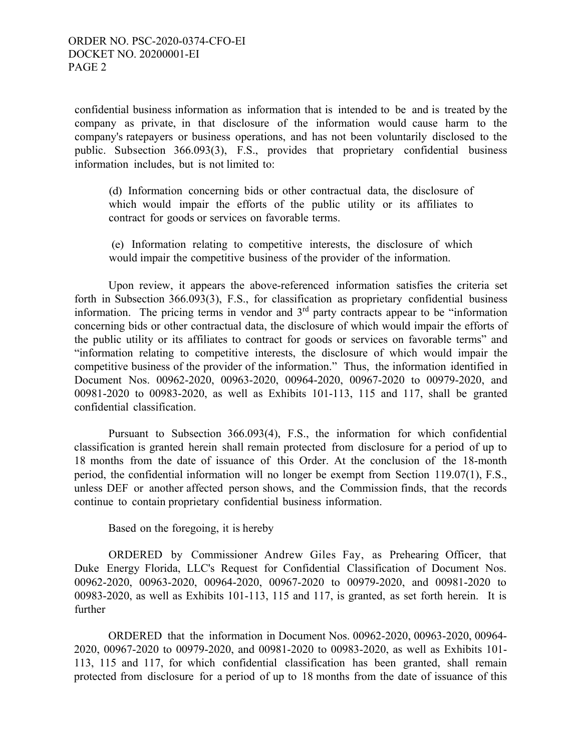confidential business information as information that is intended to be and is treated by the company as private, in that disclosure of the information would cause harm to the company's ratepayers or business operations, and has not been voluntarily disclosed to the public. Subsection 366.093(3), F.S., provides that proprietary confidential business information includes, but is not limited to:

(d) Information concerning bids or other contractual data, the disclosure of which would impair the efforts of the public utility or its affiliates to contract for goods or services on favorable terms.

(e) Information relating to competitive interests, the disclosure of which would impair the competitive business of the provider of the information.

Upon review, it appears the above-referenced information satisfies the criteria set forth in Subsection 366.093(3), F.S., for classification as proprietary confidential business information. The pricing terms in vendor and  $3<sup>rd</sup>$  party contracts appear to be "information" concerning bids or other contractual data, the disclosure of which would impair the efforts of the public utility or its affiliates to contract for goods or services on favorable terms" and "information relating to competitive interests, the disclosure of which would impair the competitive business of the provider of the information." Thus, the information identified in Document Nos. 00962-2020, 00963-2020, 00964-2020, 00967-2020 to 00979-2020, and 00981-2020 to 00983-2020, as well as Exhibits 101-113, 115 and 117, shall be granted confidential classification.

Pursuant to Subsection 366.093(4), F.S., the information for which confidential classification is granted herein shall remain protected from disclosure for a period of up to 18 months from the date of issuance of this Order. At the conclusion of the 18-month period, the confidential information will no longer be exempt from Section 119.07(1), F.S., unless DEF or another affected person shows, and the Commission finds, that the records continue to contain proprietary confidential business information.

Based on the foregoing, it is hereby

ORDERED by Commissioner Andrew Giles Fay, as Prehearing Officer, that Duke Energy Florida, LLC's Request for Confidential Classification of Document Nos. 00962-2020, 00963-2020, 00964-2020, 00967-2020 to 00979-2020, and 00981-2020 to 00983-2020, as well as Exhibits 101-113, 115 and 117, is granted, as set forth herein. It is further

ORDERED that the information in Document Nos. 00962-2020, 00963-2020, 00964- 2020, 00967-2020 to 00979-2020, and 00981-2020 to 00983-2020, as well as Exhibits 101- 113, 115 and 117, for which confidential classification has been granted, shall remain protected from disclosure for a period of up to 18 months from the date of issuance of this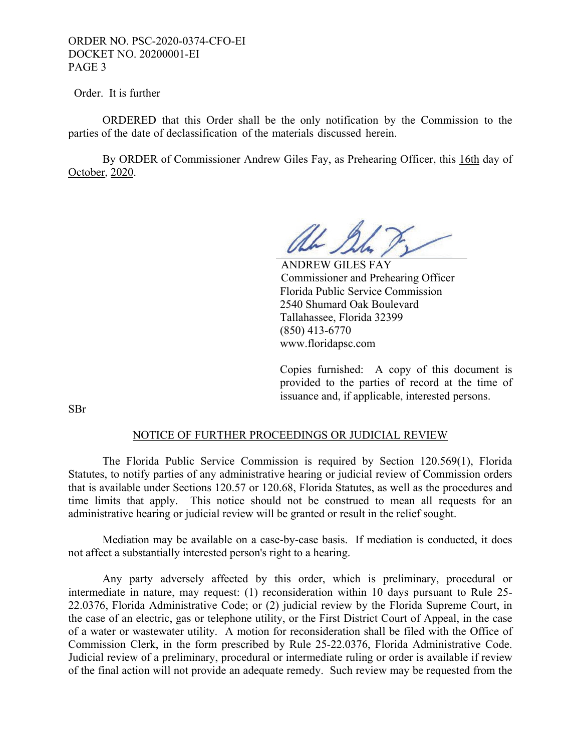## ORDER NO. PSC-2020-0374-CFO-EI DOCKET NO. 20200001-EI PAGE 3

Order. It is further

 ORDERED that this Order shall be the only notification by the Commission to the parties of the date of declassification of the materials discussed herein.

 By ORDER of Commissioner Andrew Giles Fay, as Prehearing Officer, this 16th day of October, 2020.

al Su

 ANDREW GILES FAY Commissioner and Prehearing Officer Florida Public Service Commission 2540 Shumard Oak Boulevard Tallahassee, Florida 32399 (850) 413-6770 www.floridapsc.com

Copies furnished: A copy of this document is provided to the parties of record at the time of issuance and, if applicable, interested persons.

SBr

#### NOTICE OF FURTHER PROCEEDINGS OR JUDICIAL REVIEW

 The Florida Public Service Commission is required by Section 120.569(1), Florida Statutes, to notify parties of any administrative hearing or judicial review of Commission orders that is available under Sections 120.57 or 120.68, Florida Statutes, as well as the procedures and time limits that apply. This notice should not be construed to mean all requests for an administrative hearing or judicial review will be granted or result in the relief sought.

 Mediation may be available on a case-by-case basis. If mediation is conducted, it does not affect a substantially interested person's right to a hearing.

 Any party adversely affected by this order, which is preliminary, procedural or intermediate in nature, may request: (1) reconsideration within 10 days pursuant to Rule 25- 22.0376, Florida Administrative Code; or (2) judicial review by the Florida Supreme Court, in the case of an electric, gas or telephone utility, or the First District Court of Appeal, in the case of a water or wastewater utility. A motion for reconsideration shall be filed with the Office of Commission Clerk, in the form prescribed by Rule 25-22.0376, Florida Administrative Code. Judicial review of a preliminary, procedural or intermediate ruling or order is available if review of the final action will not provide an adequate remedy. Such review may be requested from the